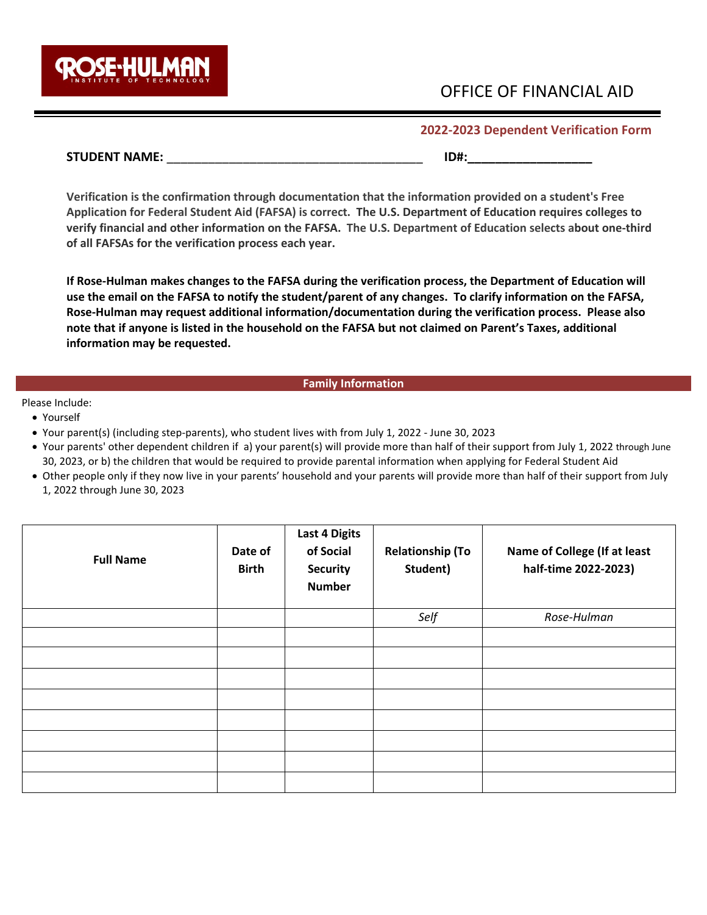

# OFFICE OF FINANCIAL AID

**2022-2023 Dependent Verification Form** 

# **STUDENT NAME:** \_\_\_\_\_\_\_\_\_\_\_\_\_\_\_\_\_\_\_\_\_\_\_\_\_\_\_\_\_\_\_\_\_\_\_\_\_ **ID#:\_\_\_\_\_\_\_\_\_\_\_\_\_\_\_\_\_\_**

**Verification is the confirmation through documentation that the information provided on a student's Free Application for Federal Student Aid (FAFSA) is correct. The U.S. Department of Education requires colleges to verify financial and other information on the FAFSA. The U.S. Department of Education selects about one-third of all FAFSAs for the verification process each year.** 

**If Rose-Hulman makes changes to the FAFSA during the verification process, the Department of Education will use the email on the FAFSA to notify the student/parent of any changes. To clarify information on the FAFSA, Rose-Hulman may request additional information/documentation during the verification process. Please also note that if anyone is listed in the household on the FAFSA but not claimed on Parent's Taxes, additional information may be requested.** 

# **Family Information**

Please Include:

- Yourself
- Your parent(s) (including step-parents), who student lives with from July 1, 2022 June 30, 2023
- Your parents' other dependent children if a) your parent(s) will provide more than half of their support from July 1, 2022 through June 30, 2023, or b) the children that would be required to provide parental information when applying for Federal Student Aid
- Other people only if they now live in your parents' household and your parents will provide more than half of their support from July 1, 2022 through June 30, 2023

| <b>Full Name</b> | Date of<br><b>Birth</b> | <b>Last 4 Digits</b><br>of Social<br><b>Security</b><br><b>Number</b> | <b>Relationship (To</b><br>Student) | Name of College (If at least<br>half-time 2022-2023) |
|------------------|-------------------------|-----------------------------------------------------------------------|-------------------------------------|------------------------------------------------------|
|                  |                         |                                                                       | Self                                | Rose-Hulman                                          |
|                  |                         |                                                                       |                                     |                                                      |
|                  |                         |                                                                       |                                     |                                                      |
|                  |                         |                                                                       |                                     |                                                      |
|                  |                         |                                                                       |                                     |                                                      |
|                  |                         |                                                                       |                                     |                                                      |
|                  |                         |                                                                       |                                     |                                                      |
|                  |                         |                                                                       |                                     |                                                      |
|                  |                         |                                                                       |                                     |                                                      |